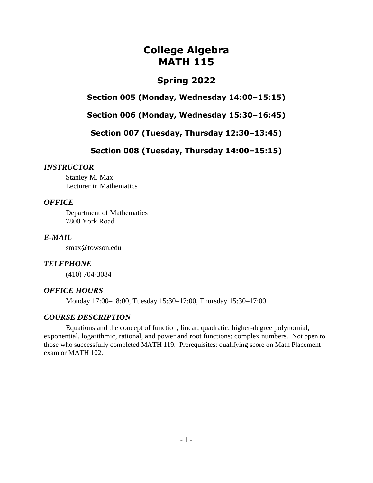# **College Algebra MATH 115**

## **Spring 2022**

**Section 005 (Monday, Wednesday 14:00–15:15)**

**Section 006 (Monday, Wednesday 15:30–16:45)**

**Section 007 (Tuesday, Thursday 12:30–13:45)**

**Section 008 (Tuesday, Thursday 14:00–15:15)**

#### *INSTRUCTOR*

Stanley M. Max Lecturer in Mathematics

### *OFFICE*

Department of Mathematics 7800 York Road

### *E-MAIL*

smax@towson.edu

## *TELEPHONE*

(410) 704-3084

### *OFFICE HOURS*

Monday 17:00–18:00, Tuesday 15:30–17:00, Thursday 15:30–17:00

### *COURSE DESCRIPTION*

Equations and the concept of function; linear, quadratic, higher-degree polynomial, exponential, logarithmic, rational, and power and root functions; complex numbers. Not open to those who successfully completed MATH 119. Prerequisites: qualifying score on Math Placement exam or MATH 102.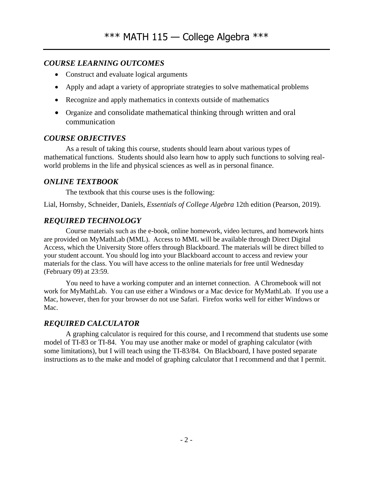## *COURSE LEARNING OUTCOMES*

- Construct and evaluate logical arguments
- Apply and adapt a variety of appropriate strategies to solve mathematical problems
- Recognize and apply mathematics in contexts outside of mathematics
- Organize and consolidate mathematical thinking through written and oral communication

## *COURSE OBJECTIVES*

As a result of taking this course, students should learn about various types of mathematical functions. Students should also learn how to apply such functions to solving realworld problems in the life and physical sciences as well as in personal finance.

## *ONLINE TEXTBOOK*

The textbook that this course uses is the following:

Lial, Hornsby, Schneider, Daniels, *Essentials of College Algebra* 12th edition (Pearson, 2019).

## *REQUIRED TECHNOLOGY*

Course materials such as the e-book, online homework, video lectures, and homework hints are provided on MyMathLab (MML). Access to MML will be available through Direct Digital Access, which the University Store offers through Blackboard. The materials will be direct billed to your student account. You should log into your Blackboard account to access and review your materials for the class. You will have access to the online materials for free until Wednesday (February 09) at 23:59.

You need to have a working computer and an internet connection. A Chromebook will not work for MyMathLab. You can use either a Windows or a Mac device for MyMathLab. If you use a Mac, however, then for your browser do not use Safari. Firefox works well for either Windows or Mac.

## *REQUIRED CALCULATOR*

A graphing calculator is required for this course, and I recommend that students use some model of TI-83 or TI-84. You may use another make or model of graphing calculator (with some limitations), but I will teach using the TI-83/84. On Blackboard, I have posted separate instructions as to the make and model of graphing calculator that I recommend and that I permit.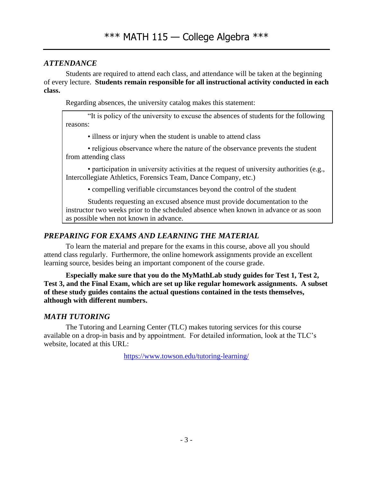## *ATTENDANCE*

Students are required to attend each class, and attendance will be taken at the beginning of every lecture. **Students remain responsible for all instructional activity conducted in each class.**

Regarding absences, the university catalog makes this statement:

"It is policy of the university to excuse the absences of students for the following reasons:

• illness or injury when the student is unable to attend class

• religious observance where the nature of the observance prevents the student from attending class

• participation in university activities at the request of university authorities (e.g., Intercollegiate Athletics, Forensics Team, Dance Company, etc.)

• compelling verifiable circumstances beyond the control of the student

Students requesting an excused absence must provide documentation to the instructor two weeks prior to the scheduled absence when known in advance or as soon as possible when not known in advance.

## *PREPARING FOR EXAMS AND LEARNING THE MATERIAL*

To learn the material and prepare for the exams in this course, above all you should attend class regularly. Furthermore, the online homework assignments provide an excellent learning source, besides being an important component of the course grade.

**Especially make sure that you do the MyMathLab study guides for Test 1, Test 2, Test 3, and the Final Exam, which are set up like regular homework assignments. A subset of these study guides contains the actual questions contained in the tests themselves, although with different numbers.**

## *MATH TUTORING*

The Tutoring and Learning Center (TLC) makes tutoring services for this course available on a drop-in basis and by appointment. For detailed information, look at the TLC's website, located at this URL:

<https://www.towson.edu/tutoring-learning/>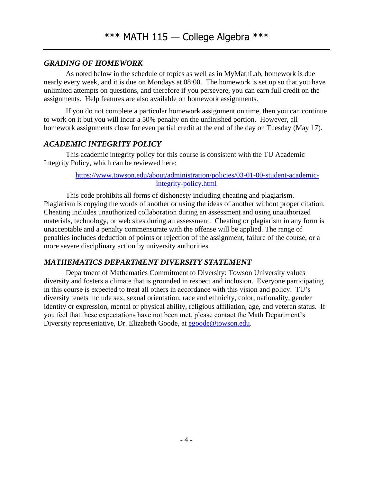## *GRADING OF HOMEWORK*

As noted below in the schedule of topics as well as in MyMathLab, homework is due nearly every week, and it is due on Mondays at 08:00. The homework is set up so that you have unlimited attempts on questions, and therefore if you persevere, you can earn full credit on the assignments. Help features are also available on homework assignments.

If you do not complete a particular homework assignment on time, then you can continue to work on it but you will incur a 50% penalty on the unfinished portion. However, all homework assignments close for even partial credit at the end of the day on Tuesday (May 17).

### *ACADEMIC INTEGRITY POLICY*

This academic integrity policy for this course is consistent with the TU Academic Integrity Policy, which can be reviewed here:

#### [https://www.towson.edu/about/administration/policies/03-01-00-student-academic](https://www.towson.edu/about/administration/policies/03-01-00-student-academic-integrity-policy.html)[integrity-policy.html](https://www.towson.edu/about/administration/policies/03-01-00-student-academic-integrity-policy.html)

This code prohibits all forms of dishonesty including cheating and plagiarism. Plagiarism is copying the words of another or using the ideas of another without proper citation. Cheating includes unauthorized collaboration during an assessment and using unauthorized materials, technology, or web sites during an assessment. Cheating or plagiarism in any form is unacceptable and a penalty commensurate with the offense will be applied. The range of penalties includes deduction of points or rejection of the assignment, failure of the course, or a more severe disciplinary action by university authorities.

### *MATHEMATICS DEPARTMENT DIVERSITY STATEMENT*

Department of Mathematics Commitment to Diversity: Towson University values diversity and fosters a climate that is grounded in respect and inclusion. Everyone participating in this course is expected to treat all others in accordance with this vision and policy. TU's diversity tenets include sex, sexual orientation, race and ethnicity, color, nationality, gender identity or expression, mental or physical ability, religious affiliation, age, and veteran status. If you feel that these expectations have not been met, please contact the Math Department's Diversity representative, Dr. Elizabeth Goode, at [egoode@towson.edu.](mailto:egoode@towson.edu)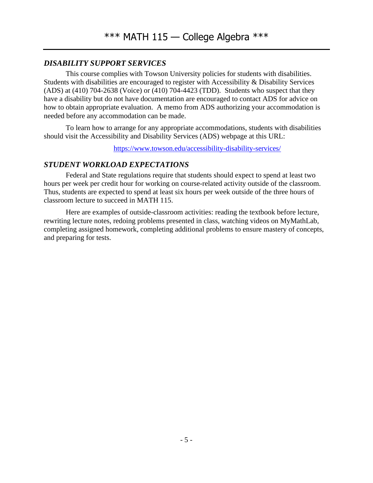## *DISABILITY SUPPORT SERVICES*

This course complies with Towson University policies for students with disabilities. Students with disabilities are encouraged to register with Accessibility & Disability Services (ADS) at (410) 704-2638 (Voice) or (410) 704-4423 (TDD). Students who suspect that they have a disability but do not have documentation are encouraged to contact ADS for advice on how to obtain appropriate evaluation. A memo from ADS authorizing your accommodation is needed before any accommodation can be made.

To learn how to arrange for any appropriate accommodations, students with disabilities should visit the Accessibility and Disability Services (ADS) webpage at this URL:

<https://www.towson.edu/accessibility-disability-services/>

### *STUDENT WORKLOAD EXPECTATIONS*

Federal and State regulations require that students should expect to spend at least two hours per week per credit hour for working on course-related activity outside of the classroom. Thus, students are expected to spend at least six hours per week outside of the three hours of classroom lecture to succeed in MATH 115.

Here are examples of outside-classroom activities: reading the textbook before lecture, rewriting lecture notes, redoing problems presented in class, watching videos on MyMathLab, completing assigned homework, completing additional problems to ensure mastery of concepts, and preparing for tests.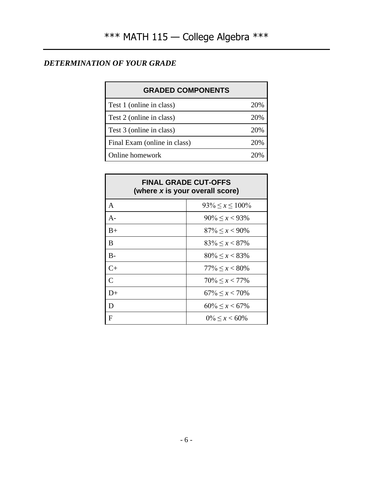## *DETERMINATION OF YOUR GRADE*

| <b>GRADED COMPONENTS</b>     |     |
|------------------------------|-----|
| Test 1 (online in class)     | 20% |
| Test 2 (online in class)     | 20% |
| Test 3 (online in class)     | 20% |
| Final Exam (online in class) | 20% |
| Online homework              |     |

| <b>FINAL GRADE CUT-OFFS</b><br>(where x is your overall score) |                          |
|----------------------------------------------------------------|--------------------------|
| $\mathbf{A}$                                                   | $93\% \leq x \leq 100\%$ |
| $A -$                                                          | $90\% < x < 93\%$        |
| $B+$                                                           | $87\% < x < 90\%$        |
| B                                                              | $83\% \leq x < 87\%$     |
| $B -$                                                          | $80\% \leq x < 83\%$     |
| $C+$                                                           | $77\% < x < 80\%$        |
| $\overline{C}$                                                 | $70\% \leq x \leq 77\%$  |
| $D+$                                                           | $67\% \leq x \leq 70\%$  |
| D                                                              | $60\% \leq x \leq 67\%$  |
| F                                                              | $0\% \leq x \leq 60\%$   |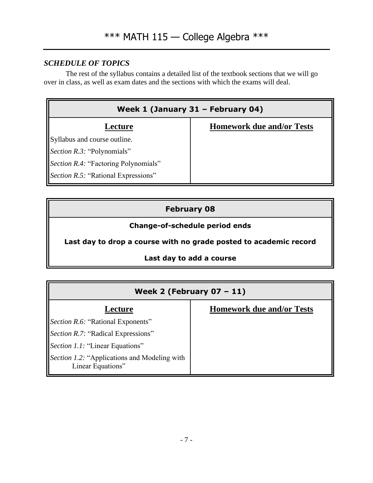## *SCHEDULE OF TOPICS*

The rest of the syllabus contains a detailed list of the textbook sections that we will go over in class, as well as exam dates and the sections with which the exams will deal.

| Week 1 (January 31 - February 04)    |                                  |
|--------------------------------------|----------------------------------|
| Lecture                              | <b>Homework due and/or Tests</b> |
| Syllabus and course outline.         |                                  |
| Section R.3: "Polynomials"           |                                  |
| Section R.4: "Factoring Polynomials" |                                  |
| Section R.5: "Rational Expressions"  |                                  |

## **February 08**

## **Change-of-schedule period ends**

**Last day to drop a course with no grade posted to academic record**

### **Last day to add a course**

| Week 2 (February $07 - 11$ )                                      |                                  |
|-------------------------------------------------------------------|----------------------------------|
| Lecture                                                           | <b>Homework due and/or Tests</b> |
| <i>Section R.6:</i> "Rational Exponents"                          |                                  |
| <i>Section R.7:</i> "Radical Expressions"                         |                                  |
| <i>Section 1.1</i> : "Linear Equations"                           |                                  |
| Section 1.2: "Applications and Modeling with<br>Linear Equations" |                                  |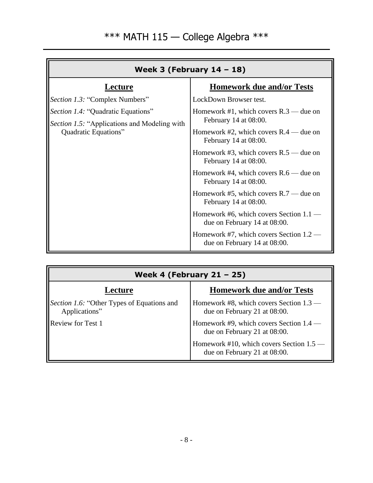| Week 3 (February $14 - 18$ )                                                                                             |                                                                           |
|--------------------------------------------------------------------------------------------------------------------------|---------------------------------------------------------------------------|
| Lecture                                                                                                                  | <b>Homework due and/or Tests</b>                                          |
| <i>Section 1.3:</i> "Complex Numbers"                                                                                    | LockDown Browser test.                                                    |
| <i>Section 1.4:</i> "Quadratic Equations"<br><i>Section 1.5:</i> "Applications and Modeling with<br>Quadratic Equations" | Homework #1, which covers $R.3$ — due on<br>February 14 at 08:00.         |
|                                                                                                                          | Homework #2, which covers $R.4$ — due on<br>February 14 at 08:00.         |
|                                                                                                                          | Homework #3, which covers $R.5$ — due on<br>February 14 at 08:00.         |
|                                                                                                                          | Homework #4, which covers $R.6$ — due on<br>February 14 at 08:00.         |
|                                                                                                                          | Homework #5, which covers $R.7$ — due on<br>February 14 at 08:00.         |
|                                                                                                                          | Homework #6, which covers Section $1.1$ —<br>due on February 14 at 08:00. |
|                                                                                                                          | Homework #7, which covers Section $1.2$ —<br>due on February 14 at 08:00. |

| Week 4 (February $21 - 25$ )                                |                                                                           |
|-------------------------------------------------------------|---------------------------------------------------------------------------|
| Lecture                                                     | <b>Homework due and/or Tests</b>                                          |
| Section 1.6: "Other Types of Equations and<br>Applications" | Homework #8, which covers Section $1.3$ —<br>due on February 21 at 08:00. |
| <b>Review for Test 1</b>                                    | Homework #9, which covers Section 1.4 —<br>due on February 21 at 08:00.   |
|                                                             | Homework #10, which covers Section 1.5 -<br>due on February 21 at 08:00.  |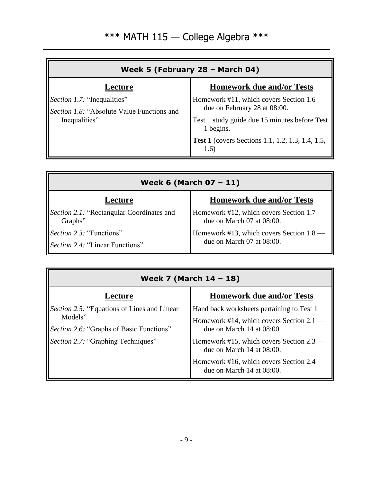| Week 5 (February 28 - March 04)                                                                   |                                                                                                                                      |
|---------------------------------------------------------------------------------------------------|--------------------------------------------------------------------------------------------------------------------------------------|
| Lecture                                                                                           | <b>Homework due and/or Tests</b>                                                                                                     |
| <i>Section 1.7:</i> "Inequalities"<br>Section 1.8: "Absolute Value Functions and<br>Inequalities" | Homework #11, which covers Section 1.6<br>due on February 28 at 08:00.<br>Test 1 study guide due 15 minutes before Test<br>1 begins. |
|                                                                                                   | <b>Test 1</b> (covers Sections 1.1, 1.2, 1.3, 1.4, 1.5,<br>1.6)                                                                      |

| Week 6 (March $07 - 11$ )                 |                                          |
|-------------------------------------------|------------------------------------------|
| Lecture                                   | <b>Homework due and/or Tests</b>         |
| Section 2.1: "Rectangular Coordinates and | Homework #12, which covers Section 1.7 — |
| Graphs"                                   | due on March 07 at 08:00.                |
| <i>Section 2.3:</i> "Functions"           | Homework #13, which covers Section 1.8 — |
| <i>Section 2.4:</i> "Linear Functions"    | due on March 07 at 08:00.                |

| Week 7 (March 14 - 18)                              |                                                                              |
|-----------------------------------------------------|------------------------------------------------------------------------------|
| Lecture                                             | <b>Homework due and/or Tests</b>                                             |
| <i>Section 2.5:</i> "Equations of Lines and Linear" | Hand back worksheets pertaining to Test 1                                    |
| Models"<br>Section 2.6: "Graphs of Basic Functions" | Homework #14, which covers Section 2.1 —<br>due on March $14$ at $08:00$ .   |
| Section 2.7: "Graphing Techniques"                  | Homework #15, which covers Section $2.3 -$<br>due on March $14$ at $08:00$ . |
|                                                     | Homework #16, which covers Section 2.4 –<br>due on March $14$ at $08:00$ .   |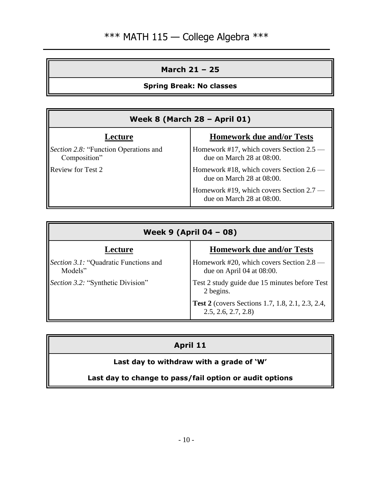## **March 21 – 25**

## **Spring Break: No classes**

| Week 8 (March 28 - April 01)                          |                                                                       |
|-------------------------------------------------------|-----------------------------------------------------------------------|
| Lecture                                               | <b>Homework due and/or Tests</b>                                      |
| Section 2.8: "Function Operations and<br>Composition" | Homework #17, which covers Section 2.5 -<br>due on March 28 at 08:00. |
| Review for Test 2                                     | Homework #18, which covers Section 2.6 —<br>due on March 28 at 08:00. |
|                                                       | Homework #19, which covers Section 2.7 -<br>due on March 28 at 08:00. |

| Week 9 (April 04 - 08)                                   |                                                                          |
|----------------------------------------------------------|--------------------------------------------------------------------------|
| Lecture                                                  | <b>Homework due and/or Tests</b>                                         |
| <i>Section 3.1</i> : "Quadratic Functions and<br>Models" | Homework #20, which covers Section 2.8 —<br>due on April 04 at $08:00$ . |
| Section 3.2: "Synthetic Division"                        | Test 2 study guide due 15 minutes before Test<br>2 begins.               |
|                                                          | Test 2 (covers Sections 1.7, 1.8, 2.1, 2.3, 2.4,<br>2.5, 2.6, 2.7, 2.8   |

## **April 11**

## **Last day to withdraw with a grade of 'W'**

## **Last day to change to pass/fail option or audit options**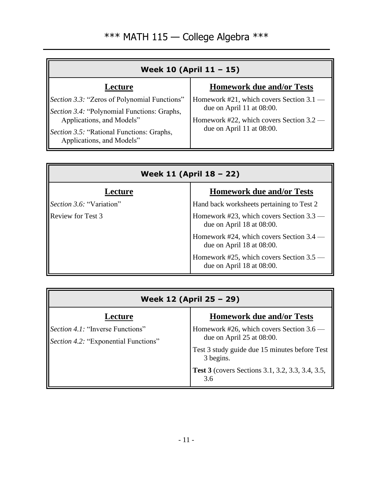| Week 10 (April 11 - 15)                                                                                                                                                                                   |                                                                                                                                                |
|-----------------------------------------------------------------------------------------------------------------------------------------------------------------------------------------------------------|------------------------------------------------------------------------------------------------------------------------------------------------|
| Lecture                                                                                                                                                                                                   | <b>Homework due and/or Tests</b>                                                                                                               |
| Section 3.3: "Zeros of Polynomial Functions"<br>Section 3.4: "Polynomial Functions: Graphs,<br>Applications, and Models"<br><i>Section 3.5:</i> "Rational Functions: Graphs,<br>Applications, and Models" | Homework #21, which covers Section 3.1 —<br>due on April 11 at 08:00.<br>Homework #22, which covers Section 3.2 —<br>due on April 11 at 08:00. |

| Week 11 (April 18 - 22)  |                                                                            |
|--------------------------|----------------------------------------------------------------------------|
| Lecture                  | <b>Homework due and/or Tests</b>                                           |
| Section 3.6: "Variation" | Hand back worksheets pertaining to Test 2                                  |
| <b>Review for Test 3</b> | Homework #23, which covers Section 3.3 -<br>due on April $18$ at $08:00$ . |
|                          | Homework #24, which covers Section 3.4 –<br>due on April $18$ at $08:00$ . |
|                          | Homework #25, which covers Section 3.5<br>due on April $18$ at $08:00$ .   |

| Week 12 (April 25 - 29)                                                         |                                                                                                                                       |  |
|---------------------------------------------------------------------------------|---------------------------------------------------------------------------------------------------------------------------------------|--|
| Lecture                                                                         | <b>Homework due and/or Tests</b>                                                                                                      |  |
| <i>Section 4.1:</i> "Inverse Functions"<br>Section 4.2: "Exponential Functions" | Homework #26, which covers Section 3.6 —<br>due on April $25$ at 08:00.<br>Test 3 study guide due 15 minutes before Test<br>3 begins. |  |
|                                                                                 | <b>Test 3</b> (covers Sections 3.1, 3.2, 3.3, 3.4, 3.5,<br>3.6                                                                        |  |